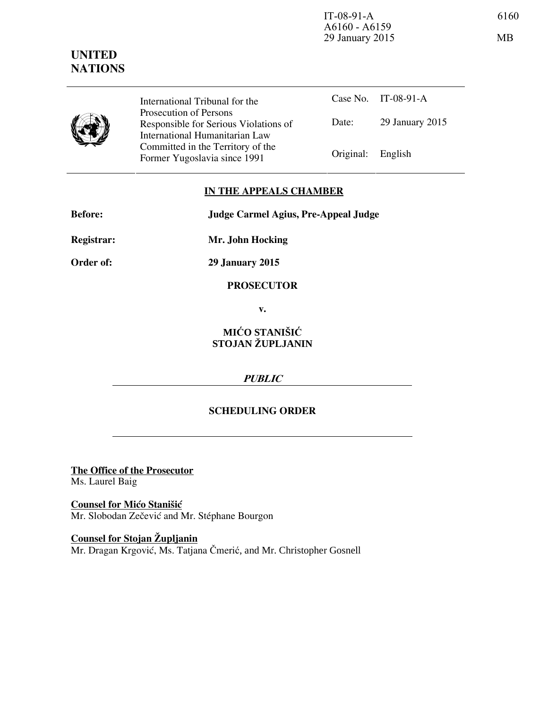

International Tribunal for the Prosecution of Persons Responsible for Serious Violations of International Humanitarian Law Committed in the Territory of the Former Yugoslavia since 1991 Original: English

Case No. IT-08-91-A Date: 29 January 2015

#### **IN THE APPEALS CHAMBER**

| <b>Before:</b>    | Judge Carmel Agius, Pre-Appeal Judge |
|-------------------|--------------------------------------|
| <b>Registrar:</b> | Mr. John Hocking                     |

**Order of: 29 January 2015** 

**PROSECUTOR** 

**v.** 

# **MIĆO STANIŠIĆ STOJAN ŽUPLJANIN**

## **PUBLIC**

## **SCHEDULING ORDER**

**The Office of the Prosecutor** Ms. Laurel Baig

**Counsel for Mićo Stanišić** Mr. Slobodan Zečević and Mr. Stéphane Bourgon

**Counsel for Stojan Župljanin** Mr. Dragan Krgović, Ms. Tatjana Čmerić, and Mr. Christopher Gosnell